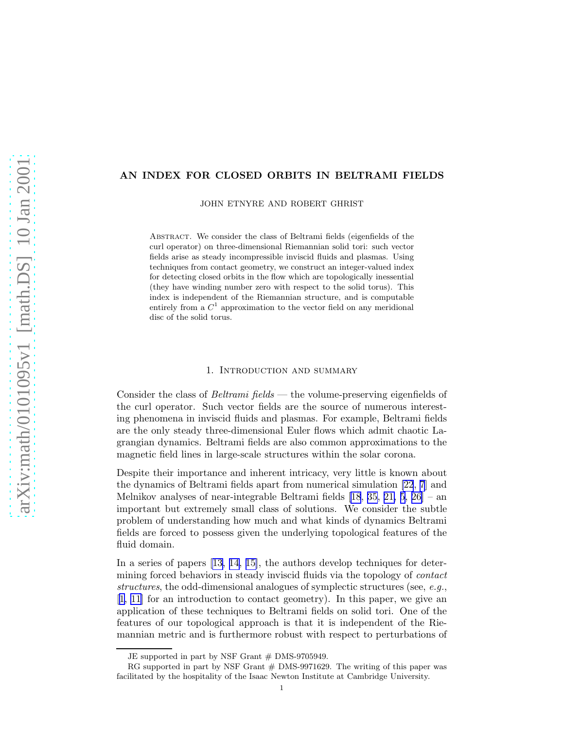## AN INDEX FOR CLOSED ORBITS IN BELTRAMI FIELDS

JOHN ETNYRE AND ROBERT GHRIST

Abstract. We consider the class of Beltrami fields (eigenfields of the curl operator) on three-dimensional Riemannian solid tori: such vector fields arise as steady incompressible inviscid fluids and plasmas. Using techniques from contact geometry, we construct an integer-valued index for detecting closed orbits in the flow which are topologically inessential (they have winding number zero with respect to the solid torus). This index is independent of the Riemannian structure, and is computable entirely from a  $C^1$  approximation to the vector field on any meridional disc of the solid torus.

### 1. Introduction and summary

Consider the class of *Beltrami fields* — the volume-preserving eigenfields of the curl operator. Such vector fields are the source of numerous interesting phenomena in inviscid fluids and plasmas. For example, Beltrami fields are the only steady three-dimensional Euler flows which admit chaotic Lagrangian dynamics. Beltrami fields are also common approximations to the magnetic field lines in large-scale structures within the solar corona.

Despite their importance and inherent intricacy, very little is known about the dynamics of Beltrami fields apart from numerical simulation [\[22](#page-13-0), [7](#page-12-0)] and Melnikov analyses of near-integrable Beltrami fields [\[18](#page-13-0), [35, 21,](#page-13-0) [5,](#page-12-0) [26\]](#page-13-0) – an important but extremely small class of solutions. We consider the subtle problem of understanding how much and what kinds of dynamics Beltrami fields are forced to possess given the underlying topological features of the fluid domain.

In a series of papers[[13, 14, 15\]](#page-12-0), the authors develop techniques for determining forced behaviors in steady inviscid fluids via the topology of *contact structures*, the odd-dimensional analogues of symplectic structures (see, *e.g.*, [[1](#page-12-0), [11](#page-12-0)] for an introduction to contact geometry). In this paper, we give an application of these techniques to Beltrami fields on solid tori. One of the features of our topological approach is that it is independent of the Riemannian metric and is furthermore robust with respect to perturbations of

JE supported in part by NSF Grant  $#$  DMS-9705949.

RG supported in part by NSF Grant  $#$  DMS-9971629. The writing of this paper was facilitated by the hospitality of the Isaac Newton Institute at Cambridge University.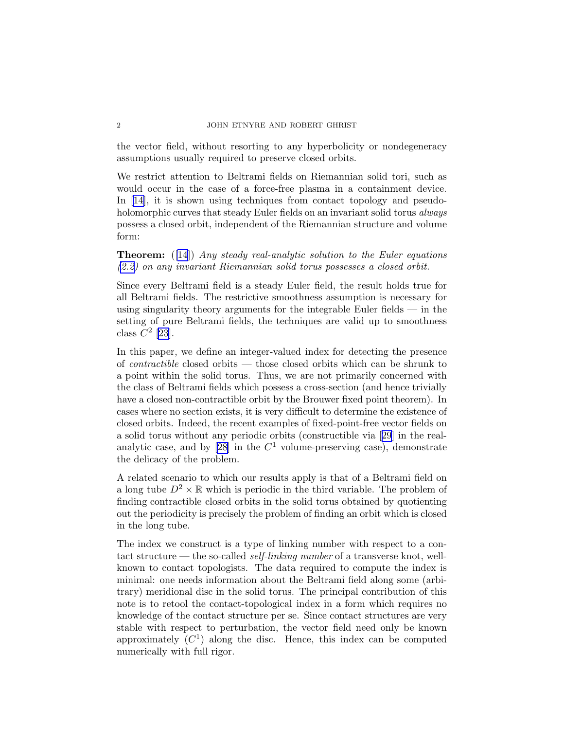#### 2 JOHN ETNYRE AND ROBERT GHRIST

the vector field, without resorting to any hyperbolicity or nondegeneracy assumptions usually required to preserve closed orbits.

We restrict attention to Beltrami fields on Riemannian solid tori, such as would occur in the case of a force-free plasma in a containment device. In[[14\]](#page-12-0), it is shown using techniques from contact topology and pseudoholomorphic curves that steady Euler fields on an invariant solid torus *always* possess a closed orbit, independent of the Riemannian structure and volume form:

# Theorem: ([[14\]](#page-12-0)) *Any steady real-analytic solution to the Euler equations [\(2.2\)](#page-2-0) on any invariant Riemannian solid torus possesses a closed orbit.*

Since every Beltrami field is a steady Euler field, the result holds true for all Beltrami fields. The restrictive smoothness assumption is necessary for using singularity theory arguments for the integrable Euler fields  $-$  in the setting of pure Beltrami fields, the techniques are valid up to smoothness class  $C^2$  [\[23](#page-13-0)].

In this paper, we define an integer-valued index for detecting the presence of *contractible* closed orbits — those closed orbits which can be shrunk to a point within the solid torus. Thus, we are not primarily concerned with the class of Beltrami fields which possess a cross-section (and hence trivially have a closed non-contractible orbit by the Brouwer fixed point theorem). In cases where no section exists, it is very difficult to determine the existence of closed orbits. Indeed, the recent examples of fixed-point-free vector fields on a solid torus without any periodic orbits (constructible via[[29](#page-13-0)] in the realanalytic case, and by  $[28]$  in the  $C<sup>1</sup>$  volume-preserving case), demonstrate the delicacy of the problem.

A related scenario to which our results apply is that of a Beltrami field on a long tube  $D^2 \times \mathbb{R}$  which is periodic in the third variable. The problem of finding contractible closed orbits in the solid torus obtained by quotienting out the periodicity is precisely the problem of finding an orbit which is closed in the long tube.

The index we construct is a type of linking number with respect to a contact structure — the so-called *self-linking number* of a transverse knot, wellknown to contact topologists. The data required to compute the index is minimal: one needs information about the Beltrami field along some (arbitrary) meridional disc in the solid torus. The principal contribution of this note is to retool the contact-topological index in a form which requires no knowledge of the contact structure per se. Since contact structures are very stable with respect to perturbation, the vector field need only be known approximately  $(C<sup>1</sup>)$  along the disc. Hence, this index can be computed numerically with full rigor.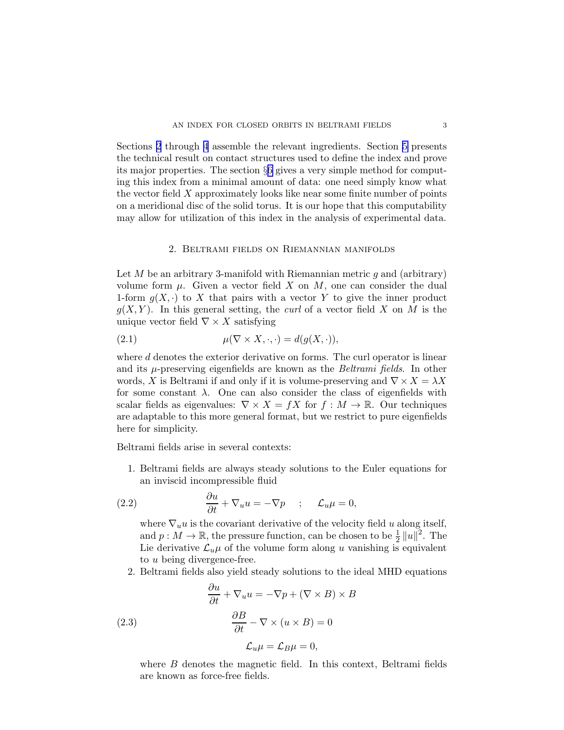<span id="page-2-0"></span>Sections 2 through [4](#page-4-0) assemble the relevant ingredients. Section [5](#page-6-0) presents the technical result on contact structures used to define the index and prove its major properties. The section §[6](#page-9-0) gives a very simple method for computing this index from a minimal amount of data: one need simply know what the vector field X approximately looks like near some finite number of points on a meridional disc of the solid torus. It is our hope that this computability may allow for utilization of this index in the analysis of experimental data.

## 2. Beltrami fields on Riemannian manifolds

Let  $M$  be an arbitrary 3-manifold with Riemannian metric  $g$  and (arbitrary) volume form  $\mu$ . Given a vector field X on M, one can consider the dual 1-form  $g(X, \cdot)$  to X that pairs with a vector Y to give the inner product  $g(X, Y)$ . In this general setting, the *curl* of a vector field X on M is the unique vector field  $\nabla \times X$  satisfying

(2.1) 
$$
\mu(\nabla \times X, \cdot, \cdot) = d(g(X, \cdot)),
$$

where d denotes the exterior derivative on forms. The curl operator is linear and its  $\mu$ -preserving eigenfields are known as the *Beltrami fields*. In other words, X is Beltrami if and only if it is volume-preserving and  $\nabla \times X = \lambda X$ for some constant  $\lambda$ . One can also consider the class of eigenfields with scalar fields as eigenvalues:  $\nabla \times X = fX$  for  $f : M \to \mathbb{R}$ . Our techniques are adaptable to this more general format, but we restrict to pure eigenfields here for simplicity.

Beltrami fields arise in several contexts:

1. Beltrami fields are always steady solutions to the Euler equations for an inviscid incompressible fluid

(2.2) 
$$
\frac{\partial u}{\partial t} + \nabla_u u = -\nabla p \quad ; \quad \mathcal{L}_u \mu = 0,
$$

where  $\nabla_u u$  is the covariant derivative of the velocity field u along itself, and  $p: M \to \mathbb{R}$ , the pressure function, can be chosen to be  $\frac{1}{2} ||u||^2$ . The Lie derivative  $\mathcal{L}_u\mu$  of the volume form along u vanishing is equivalent to u being divergence-free.

2. Beltrami fields also yield steady solutions to the ideal MHD equations

(2.3)  
\n
$$
\frac{\partial u}{\partial t} + \nabla_u u = -\nabla p + (\nabla \times B) \times B
$$
\n
$$
\frac{\partial B}{\partial t} - \nabla \times (u \times B) = 0
$$
\n
$$
\mathcal{L}_u \mu = \mathcal{L}_B \mu = 0,
$$

where  $B$  denotes the magnetic field. In this context, Beltrami fields are known as force-free fields.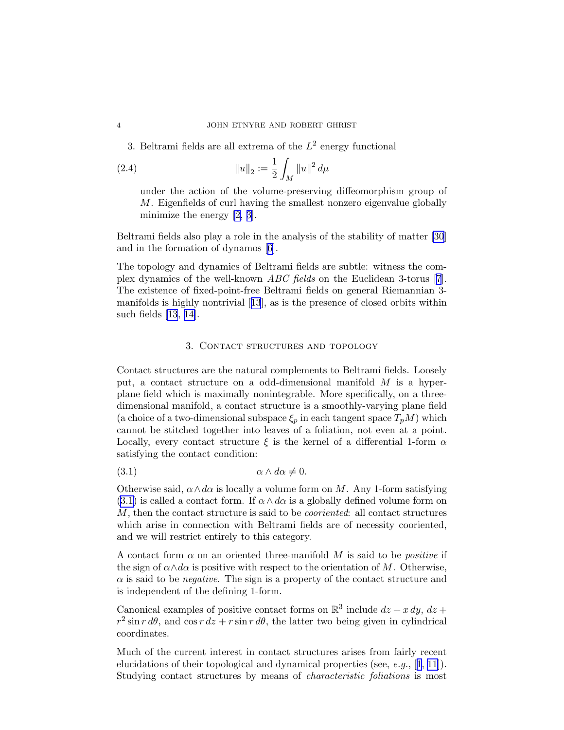3. Beltrami fields are all extrema of the  $L^2$  energy functional

(2.4) 
$$
||u||_2 := \frac{1}{2} \int_M ||u||^2 d\mu
$$

under the action of the volume-preserving diffeomorphism group of M. Eigenfields of curl having the smallest nonzero eigenvalue globally minimize the energy [\[2, 3](#page-12-0)].

Beltrami fields also play a role in the analysis of the stability of matter [\[30](#page-13-0)] and in the formation of dynamos[[6](#page-12-0)].

The topology and dynamics of Beltrami fields are subtle: witness the complex dynamics of the well-known *ABC fields* on the Euclidean 3-torus[[7](#page-12-0)]. The existence of fixed-point-free Beltrami fields on general Riemannian 3 manifolds is highly nontrivial[[13](#page-12-0)], as is the presence of closed orbits within such fields [\[13](#page-12-0), [14\]](#page-12-0).

## 3. Contact structures and topology

Contact structures are the natural complements to Beltrami fields. Loosely put, a contact structure on a odd-dimensional manifold M is a hyperplane field which is maximally nonintegrable. More specifically, on a threedimensional manifold, a contact structure is a smoothly-varying plane field (a choice of a two-dimensional subspace  $\xi_p$  in each tangent space  $T_pM$ ) which cannot be stitched together into leaves of a foliation, not even at a point. Locally, every contact structure  $\xi$  is the kernel of a differential 1-form  $\alpha$ satisfying the contact condition:

(3.1) α ∧ dα 6= 0.

Otherwise said,  $\alpha \wedge d\alpha$  is locally a volume form on M. Any 1-form satisfying (3.1) is called a contact form. If  $\alpha \wedge d\alpha$  is a globally defined volume form on M, then the contact structure is said to be *cooriented*: all contact structures which arise in connection with Beltrami fields are of necessity cooriented, and we will restrict entirely to this category.

A contact form  $\alpha$  on an oriented three-manifold M is said to be *positive* if the sign of  $\alpha \wedge d\alpha$  is positive with respect to the orientation of M. Otherwise, α is said to be *negative*. The sign is a property of the contact structure and is independent of the defining 1-form.

Canonical examples of positive contact forms on  $\mathbb{R}^3$  include  $dz + x dy$ ,  $dz +$  $r^2 \sin r \, d\theta$ , and  $\cos r \, dz + r \sin r \, d\theta$ , the latter two being given in cylindrical coordinates.

Much of the current interest in contact structures arises from fairly recent elucidations of their topological and dynamical properties (see, *e.g.*,[[1, 11](#page-12-0)]). Studying contact structures by means of *characteristic foliations* is most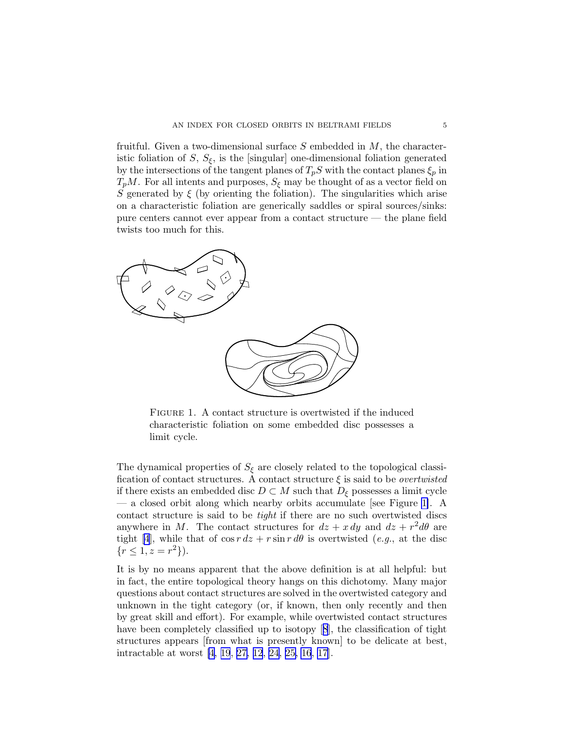<span id="page-4-0"></span>fruitful. Given a two-dimensional surface  $S$  embedded in  $M$ , the characteristic foliation of  $S$ ,  $S_{\xi}$ , is the [singular] one-dimensional foliation generated by the intersections of the tangent planes of  $T_pS$  with the contact planes  $\xi_p$  in  $T_pM$ . For all intents and purposes,  $S_\xi$  may be thought of as a vector field on S generated by  $\xi$  (by orienting the foliation). The singularities which arise on a characteristic foliation are generically saddles or spiral sources/sinks: pure centers cannot ever appear from a contact structure — the plane field twists too much for this.



FIGURE 1. A contact structure is overtwisted if the induced characteristic foliation on some embedded disc possesses a limit cycle.

The dynamical properties of  $S_{\xi}$  are closely related to the topological classification of contact structures. A contact structure ξ is said to be *overtwisted* if there exists an embedded disc  $D \subset M$  such that  $D_{\xi}$  possesses a limit cycle — a closed orbit along which nearby orbits accumulate [see Figure 1]. A contact structure is said to be *tight* if there are no such overtwisted discs anywhere in M. The contact structures for  $dz + x dy$  and  $dz + r^2 d\theta$  are tight[[4](#page-12-0)], while that of  $\cos r \, dz + r \sin r \, d\theta$  is overtwisted (*e.g.*, at the disc  $\{r \leq 1, z = r^2\}.$ 

It is by no means apparent that the above definition is at all helpful: but in fact, the entire topological theory hangs on this dichotomy. Many major questions about contact structures are solved in the overtwisted category and unknown in the tight category (or, if known, then only recently and then by great skill and effort). For example, while overtwisted contact structures have been completely classified up to isotopy[[8](#page-12-0)], the classification of tight structures appears [from what is presently known] to be delicate at best, intractable at worst [\[4,](#page-12-0) [19](#page-13-0), [27,](#page-13-0) [12](#page-12-0), [24](#page-13-0), [25,](#page-13-0) [16](#page-12-0), [17\]](#page-13-0).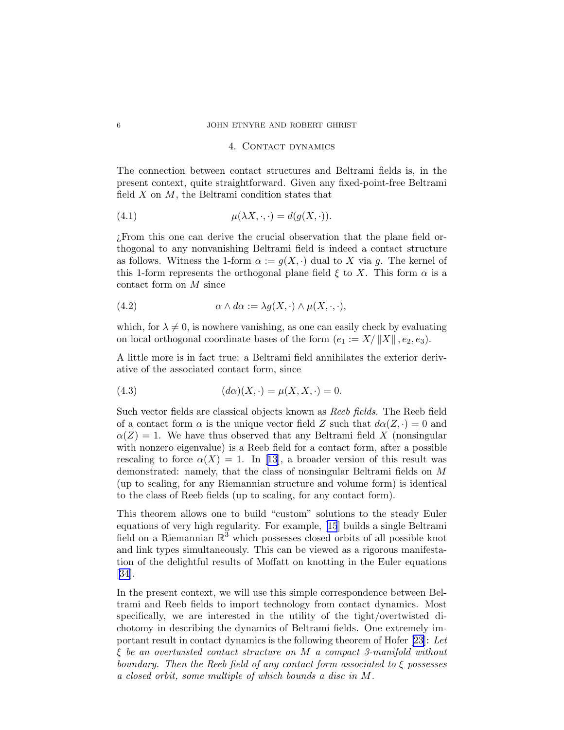#### 6 JOHN ETNYRE AND ROBERT GHRIST

# 4. CONTACT DYNAMICS

The connection between contact structures and Beltrami fields is, in the present context, quite straightforward. Given any fixed-point-free Beltrami field  $X$  on  $M$ , the Beltrami condition states that

(4.1) 
$$
\mu(\lambda X, \cdot, \cdot) = d(g(X, \cdot)).
$$

¿From this one can derive the crucial observation that the plane field orthogonal to any nonvanishing Beltrami field is indeed a contact structure as follows. Witness the 1-form  $\alpha := g(X, \cdot)$  dual to X via g. The kernel of this 1-form represents the orthogonal plane field  $\xi$  to X. This form  $\alpha$  is a contact form on M since

(4.2) 
$$
\alpha \wedge d\alpha := \lambda g(X, \cdot) \wedge \mu(X, \cdot, \cdot),
$$

which, for  $\lambda \neq 0$ , is nowhere vanishing, as one can easily check by evaluating on local orthogonal coordinate bases of the form  $(e_1 := X/||X||, e_2, e_3)$ .

A little more is in fact true: a Beltrami field annihilates the exterior derivative of the associated contact form, since

(4.3) 
$$
(d\alpha)(X, \cdot) = \mu(X, X, \cdot) = 0.
$$

Such vector fields are classical objects known as *Reeb fields.* The Reeb field of a contact form  $\alpha$  is the unique vector field Z such that  $d\alpha(Z, \cdot) = 0$  and  $\alpha(Z) = 1$ . We have thus observed that any Beltrami field X (nonsingular with nonzero eigenvalue) is a Reeb field for a contact form, after a possible rescalingto force  $\alpha(X) = 1$ . In [[13](#page-12-0)], a broader version of this result was demonstrated: namely, that the class of nonsingular Beltrami fields on M (up to scaling, for any Riemannian structure and volume form) is identical to the class of Reeb fields (up to scaling, for any contact form).

This theorem allows one to build "custom" solutions to the steady Euler equations of very high regularity. For example,[[15](#page-12-0)] builds a single Beltrami field on a Riemannian  $\mathbb{R}^3$  which possesses closed orbits of all possible knot and link types simultaneously. This can be viewed as a rigorous manifestation of the delightful results of Moffatt on knotting in the Euler equations [[34\]](#page-13-0).

In the present context, we will use this simple correspondence between Beltrami and Reeb fields to import technology from contact dynamics. Most specifically, we are interested in the utility of the tight/overtwisted dichotomy in describing the dynamics of Beltrami fields. One extremely important result in contact dynamics is the following theorem of Hofer [\[23\]](#page-13-0): *Let* ξ *be an overtwisted contact structure on* M *a compact 3-manifold without boundary. Then the Reeb field of any contact form associated to* ξ *possesses a closed orbit, some multiple of which bounds a disc in* M*.*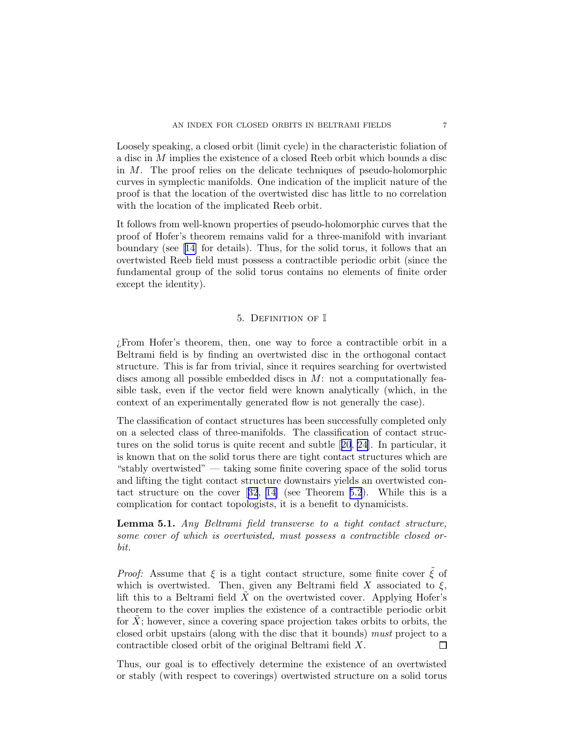<span id="page-6-0"></span>Loosely speaking, a closed orbit (limit cycle) in the characteristic foliation of a disc in M implies the existence of a closed Reeb orbit which bounds a disc in M. The proof relies on the delicate techniques of pseudo-holomorphic curves in symplectic manifolds. One indication of the implicit nature of the proof is that the location of the overtwisted disc has little to no correlation with the location of the implicated Reeb orbit.

It follows from well-known properties of pseudo-holomorphic curves that the proof of Hofer's theorem remains valid for a three-manifold with invariant boundary (see [\[14\]](#page-12-0) for details). Thus, for the solid torus, it follows that an overtwisted Reeb field must possess a contractible periodic orbit (since the fundamental group of the solid torus contains no elements of finite order except the identity).

## 5. Definition of I

¿From Hofer's theorem, then, one way to force a contractible orbit in a Beltrami field is by finding an overtwisted disc in the orthogonal contact structure. This is far from trivial, since it requires searching for overtwisted discs among all possible embedded discs in  $M$ : not a computationally feasible task, even if the vector field were known analytically (which, in the context of an experimentally generated flow is not generally the case).

The classification of contact structures has been successfully completed only on a selected class of three-manifolds. The classification of contact structures on the solid torus is quite recent and subtle[[20](#page-13-0), [24](#page-13-0)]. In particular, it is known that on the solid torus there are tight contact structures which are "stably overtwisted" — taking some finite covering space of the solid torus and lifting the tight contact structure downstairs yields an overtwisted contact structure on the cover[[32](#page-13-0), [14\]](#page-12-0) (see Theorem [5.2](#page-7-0)). While this is a complication for contact topologists, it is a benefit to dynamicists.

Lemma 5.1. *Any Beltrami field transverse to a tight contact structure, some cover of which is overtwisted, must possess a contractible closed orbit.*

*Proof:* Assume that  $\xi$  is a tight contact structure, some finite cover  $\tilde{\xi}$  of which is overtwisted. Then, given any Beltrami field X associated to  $\xi$ , lift this to a Beltrami field  $\overline{X}$  on the overtwisted cover. Applying Hofer's theorem to the cover implies the existence of a contractible periodic orbit for  $X$ ; however, since a covering space projection takes orbits to orbits, the closed orbit upstairs (along with the disc that it bounds) *must* project to a contractible closed orbit of the original Beltrami field X. 口

Thus, our goal is to effectively determine the existence of an overtwisted or stably (with respect to coverings) overtwisted structure on a solid torus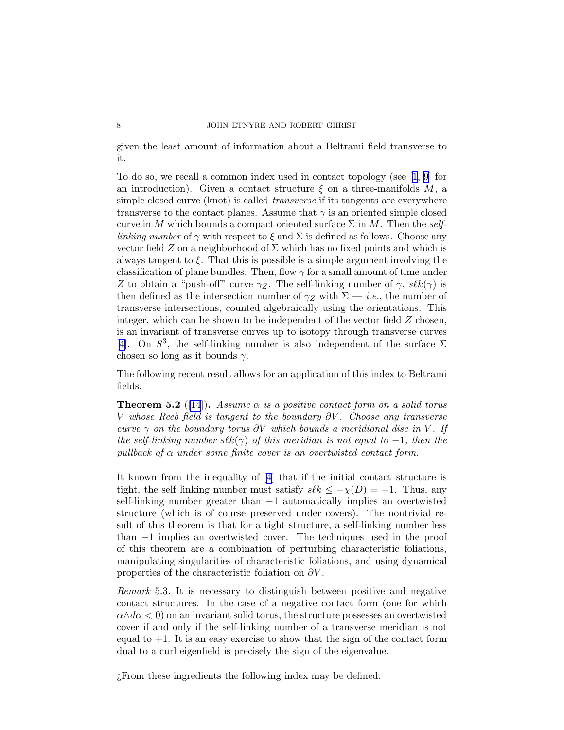given the least amount of information about a Beltrami field transverse to it.

To do so, we recall a common index used in contact topology (see[[1](#page-12-0), [9](#page-12-0)] for an introduction). Given a contact structure  $\xi$  on a three-manifolds M, a simple closed curve (knot) is called *transverse* if its tangents are everywhere transverse to the contact planes. Assume that  $\gamma$  is an oriented simple closed curve in M which bounds a compact oriented surface  $\Sigma$  in M. Then the *selflinking number* of  $\gamma$  with respect to  $\xi$  and  $\Sigma$  is defined as follows. Choose any vector field Z on a neighborhood of  $\Sigma$  which has no fixed points and which is always tangent to  $\xi$ . That this is possible is a simple argument involving the classification of plane bundles. Then, flow  $\gamma$  for a small amount of time under Z to obtain a "push-off" curve  $\gamma_Z$ . The self-linking number of  $\gamma$ ,  $\mathscr{S}k(\gamma)$  is then defined as the intersection number of  $\gamma_Z$  with  $\Sigma$  — *i.e.*, the number of transverse intersections, counted algebraically using the orientations. This integer, which can be shown to be independent of the vector field  $Z$  chosen, is an invariant of transverse curves up to isotopy through transverse curves [[4](#page-12-0)]. On  $S^3$ , the self-linking number is also independent of the surface  $\Sigma$ chosen so long as it bounds  $\gamma$ .

The following recent result allows for an application of this index to Beltrami fields.

**Theorem 5.2** ([\[14](#page-12-0)]). *Assume*  $\alpha$  *is a positive contact form on a solid torus* V *whose Reeb field is tangent to the boundary* ∂V *. Choose any transverse curve*  $\gamma$  *on the boundary torus*  $\partial V$  *which bounds a meridional disc in* V. If *the self-linking number*  $s\ell k(\gamma)$  *of this meridian is not equal to* −1*, then the pullback of*  $\alpha$  *under some finite cover is an overtwisted contact form.* 

It known from the inequality of[[4](#page-12-0)] that if the initial contact structure is tight, the self linking number must satisfy  $s\ell k \leq -\chi(D) = -1$ . Thus, any self-linking number greater than −1 automatically implies an overtwisted structure (which is of course preserved under covers). The nontrivial result of this theorem is that for a tight structure, a self-linking number less than −1 implies an overtwisted cover. The techniques used in the proof of this theorem are a combination of perturbing characteristic foliations, manipulating singularities of characteristic foliations, and using dynamical properties of the characteristic foliation on  $\partial V$ .

*Remark* 5.3*.* It is necessary to distinguish between positive and negative contact structures. In the case of a negative contact form (one for which  $\alpha \wedge d\alpha < 0$  on an invariant solid torus, the structure possesses an overtwisted cover if and only if the self-linking number of a transverse meridian is not equal to  $+1$ . It is an easy exercise to show that the sign of the contact form dual to a curl eigenfield is precisely the sign of the eigenvalue.

¿From these ingredients the following index may be defined:

<span id="page-7-0"></span>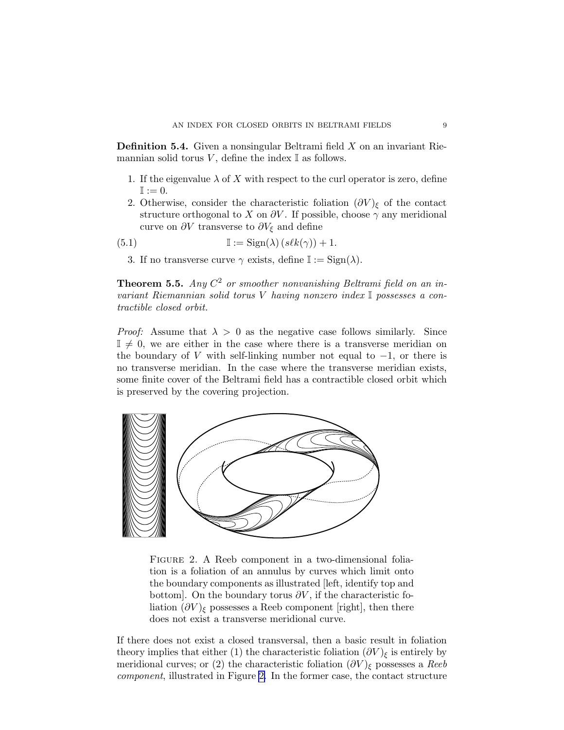**Definition 5.4.** Given a nonsingular Beltrami field  $X$  on an invariant Riemannian solid torus V, define the index  $\mathbb I$  as follows.

- 1. If the eigenvalue  $\lambda$  of X with respect to the curl operator is zero, define  $\mathbb{I} := 0.$
- 2. Otherwise, consider the characteristic foliation  $(\partial V)_{\epsilon}$  of the contact structure orthogonal to X on  $\partial V$ . If possible, choose  $\gamma$  any meridional curve on  $\partial V$  transverse to  $\partial V_{\xi}$  and define

(5.1) 
$$
\mathbb{I} := \text{Sign}(\lambda) \left(s \ell k(\gamma)\right) + 1.
$$

3. If no transverse curve  $\gamma$  exists, define  $\mathbb{I} := \text{Sign}(\lambda)$ .

Theorem 5.5. *Any* C <sup>2</sup> *or smoother nonvanishing Beltrami field on an invariant Riemannian solid torus* V *having nonzero index* I *possesses a contractible closed orbit.*

*Proof:* Assume that  $\lambda > 0$  as the negative case follows similarly. Since  $\mathbb{I} \neq 0$ , we are either in the case where there is a transverse meridian on the boundary of V with self-linking number not equal to  $-1$ , or there is no transverse meridian. In the case where the transverse meridian exists, some finite cover of the Beltrami field has a contractible closed orbit which is preserved by the covering projection.



Figure 2. A Reeb component in a two-dimensional foliation is a foliation of an annulus by curves which limit onto the boundary components as illustrated [left, identify top and bottom]. On the boundary torus  $\partial V$ , if the characteristic foliation  $(\partial V)_{\xi}$  possesses a Reeb component [right], then there does not exist a transverse meridional curve.

If there does not exist a closed transversal, then a basic result in foliation theory implies that either (1) the characteristic foliation  $(\partial V)_{\xi}$  is entirely by meridional curves; or (2) the characteristic foliation  $(\partial V)_{\xi}$  possesses a *Reeb component*, illustrated in Figure 2. In the former case, the contact structure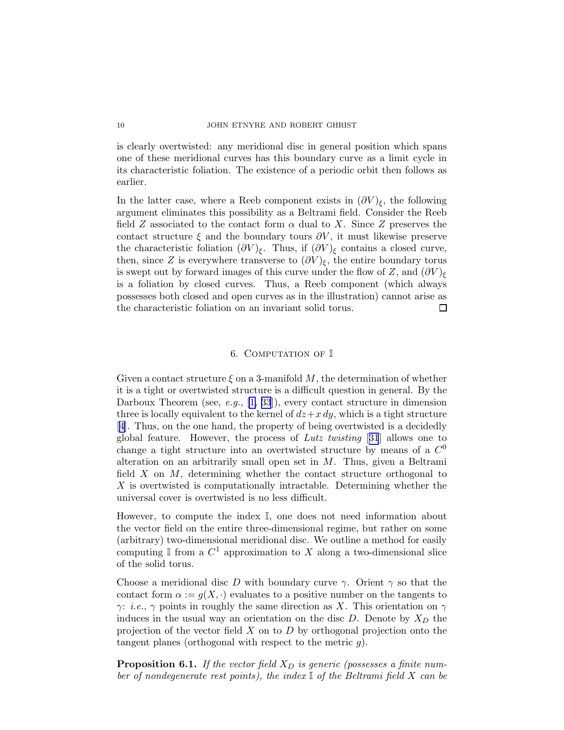is clearly overtwisted: any meridional disc in general position which spans one of these meridional curves has this boundary curve as a limit cycle in its characteristic foliation. The existence of a periodic orbit then follows as earlier.

In the latter case, where a Reeb component exists in  $(\partial V)_{\xi}$ , the following argument eliminates this possibility as a Beltrami field. Consider the Reeb field Z associated to the contact form  $\alpha$  dual to X. Since Z preserves the contact structure  $\xi$  and the boundary tours  $\partial V$ , it must likewise preserve the characteristic foliation  $(\partial V)_{\xi}$ . Thus, if  $(\partial V)_{\xi}$  contains a closed curve, then, since Z is everywhere transverse to  $(\partial V)_{\xi}$ , the entire boundary torus is swept out by forward images of this curve under the flow of Z, and  $(\partial V)_{\xi}$ is a foliation by closed curves. Thus, a Reeb component (which always possesses both closed and open curves as in the illustration) cannot arise as the characteristic foliation on an invariant solid torus.  $\Box$ 

## 6. COMPUTATION OF I

Given a contact structure  $\xi$  on a 3-manifold M, the determination of whether it is a tight or overtwisted structure is a difficult question in general. By the Darboux Theorem (see, *e.g.*, [\[1,](#page-12-0) [33](#page-13-0)]), every contact structure in dimension three is locally equivalent to the kernel of  $dz+x\,dy$ , which is a tight structure [[4](#page-12-0)]. Thus, on the one hand, the property of being overtwisted is a decidedly global feature. However, the process of *Lutz twisting* [[31](#page-13-0)] allows one to change a tight structure into an overtwisted structure by means of a  $C^0$ alteration on an arbitrarily small open set in  $M$ . Thus, given a Beltrami field  $X$  on  $M$ , determining whether the contact structure orthogonal to X is overtwisted is computationally intractable. Determining whether the universal cover is overtwisted is no less difficult.

However, to compute the index I, one does not need information about the vector field on the entire three-dimensional regime, but rather on some (arbitrary) two-dimensional meridional disc. We outline a method for easily computing  $\mathbb I$  from a  $C^1$  approximation to X along a two-dimensional slice of the solid torus.

Choose a meridional disc D with boundary curve  $\gamma$ . Orient  $\gamma$  so that the contact form  $\alpha := g(X, \cdot)$  evaluates to a positive number on the tangents to  $\gamma$ : *i.e.*,  $\gamma$  points in roughly the same direction as X. This orientation on  $\gamma$ induces in the usual way an orientation on the disc  $D$ . Denote by  $X_D$  the projection of the vector field  $X$  on to  $D$  by orthogonal projection onto the tangent planes (orthogonal with respect to the metric  $q$ ).

**Proposition 6.1.** If the vector field  $X_D$  is generic (possesses a finite num*ber of nondegenerate rest points), the index* I *of the Beltrami field* X *can be*

<span id="page-9-0"></span>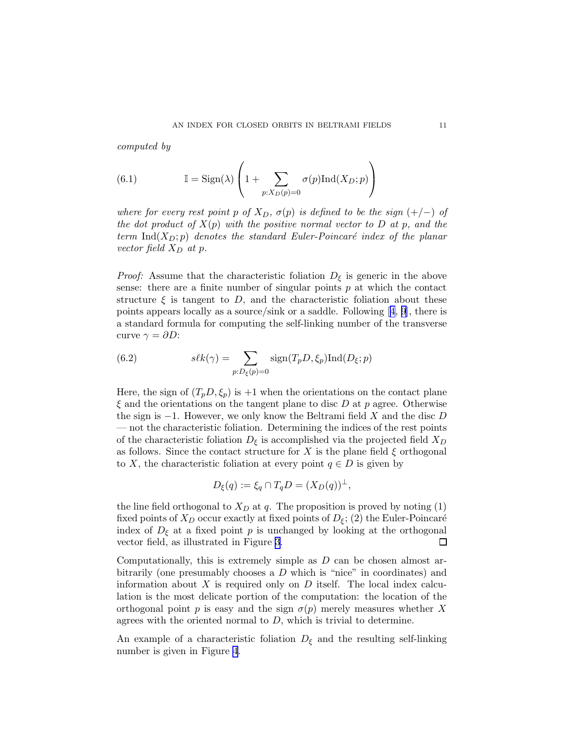*computed by*

(6.1) 
$$
\mathbb{I} = \text{Sign}(\lambda) \left( 1 + \sum_{p:X_D(p)=0} \sigma(p) \text{Ind}(X_D; p) \right)
$$

*where for every rest point* p *of*  $X_D$ ,  $\sigma(p)$  *is defined to be the sign* (+/−) *of the dot product of* X(p) *with the positive normal vector to* D *at* p*, and the term*  $\text{Ind}(X_D; p)$  *denotes the standard Euler-Poincaré index of the planar vector field*  $X_D$  *at*  $p$ *.* 

*Proof:* Assume that the characteristic foliation  $D_{\xi}$  is generic in the above sense: there are a finite number of singular points  $p$  at which the contact structure  $\xi$  is tangent to D, and the characteristic foliation about these pointsappears locally as a source/sink or a saddle. Following  $[4, 9]$  $[4, 9]$  $[4, 9]$  $[4, 9]$ , there is a standard formula for computing the self-linking number of the transverse curve  $\gamma = \partial D$ :

(6.2) 
$$
s\ell k(\gamma) = \sum_{p:D_{\xi}(p)=0} sign(T_p D, \xi_p) Ind(D_{\xi}; p)
$$

Here, the sign of  $(T_p D, \xi_p)$  is +1 when the orientations on the contact plane  $\xi$  and the orientations on the tangent plane to disc D at p agree. Otherwise the sign is  $-1$ . However, we only know the Beltrami field X and the disc D — not the characteristic foliation. Determining the indices of the rest points of the characteristic foliation  $D_{\xi}$  is accomplished via the projected field  $X_D$ as follows. Since the contact structure for X is the plane field  $\xi$  orthogonal to X, the characteristic foliation at every point  $q \in D$  is given by

$$
D_{\xi}(q) := \xi_q \cap T_q D = (X_D(q))^{\perp},
$$

the line field orthogonal to  $X_D$  at q. The proposition is proved by noting (1) fixed points of  $X_D$  occur exactly at fixed points of  $D_{\xi}$ ; (2) the Euler-Poincaré index of  $D_{\xi}$  at a fixed point p is unchanged by looking at the orthogonal vector field, as illustrated in Figure [3](#page-11-0).  $\Box$ 

Computationally, this is extremely simple as  $D$  can be chosen almost arbitrarily (one presumably chooses a  $D$  which is "nice" in coordinates) and information about  $X$  is required only on  $D$  itself. The local index calculation is the most delicate portion of the computation: the location of the orthogonal point p is easy and the sign  $\sigma(p)$  merely measures whether X agrees with the oriented normal to  $D$ , which is trivial to determine.

An example of a characteristic foliation  $D_{\xi}$  and the resulting self-linking number is given in Figure [4](#page-11-0).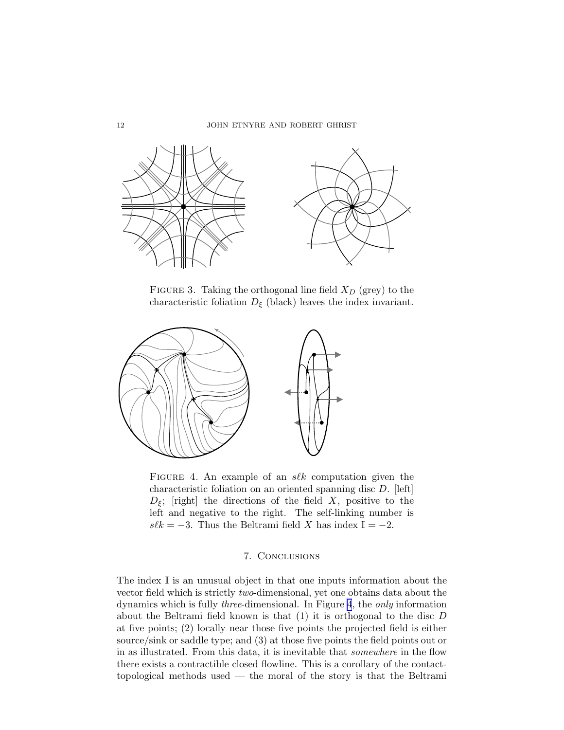<span id="page-11-0"></span>

FIGURE 3. Taking the orthogonal line field  $X_D$  (grey) to the characteristic foliation  $D_{\xi}$  (black) leaves the index invariant.



FIGURE 4. An example of an  $s\ell k$  computation given the characteristic foliation on an oriented spanning disc D. [left]  $D_{\xi}$ ; [right] the directions of the field X, positive to the left and negative to the right. The self-linking number is  $s\ell k = -3$ . Thus the Beltrami field X has index  $\mathbb{I} = -2$ .

### 7. Conclusions

The index  $\mathbb I$  is an unusual object in that one inputs information about the vector field which is strictly *two*-dimensional, yet one obtains data about the dynamics which is fully *three*-dimensional. In Figure 4, the *only* information about the Beltrami field known is that (1) it is orthogonal to the disc D at five points; (2) locally near those five points the projected field is either source/sink or saddle type; and (3) at those five points the field points out or in as illustrated. From this data, it is inevitable that *somewhere* in the flow there exists a contractible closed flowline. This is a corollary of the contacttopological methods used — the moral of the story is that the Beltrami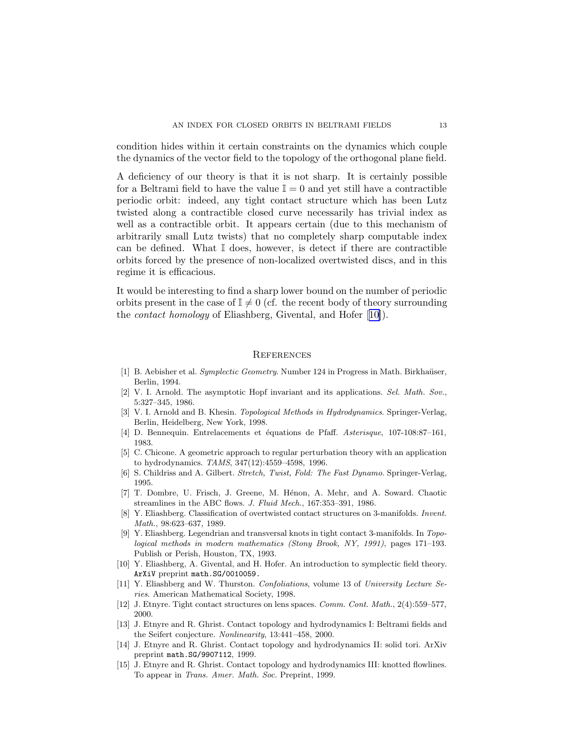<span id="page-12-0"></span>condition hides within it certain constraints on the dynamics which couple the dynamics of the vector field to the topology of the orthogonal plane field.

A deficiency of our theory is that it is not sharp. It is certainly possible for a Beltrami field to have the value  $\mathbb{I} = 0$  and yet still have a contractible periodic orbit: indeed, any tight contact structure which has been Lutz twisted along a contractible closed curve necessarily has trivial index as well as a contractible orbit. It appears certain (due to this mechanism of arbitrarily small Lutz twists) that no completely sharp computable index can be defined. What  $\mathbb I$  does, however, is detect if there are contractible orbits forced by the presence of non-localized overtwisted discs, and in this regime it is efficacious.

It would be interesting to find a sharp lower bound on the number of periodic orbits present in the case of  $\mathbb{I} \neq 0$  (cf. the recent body of theory surrounding the *contact homology* of Eliashberg, Givental, and Hofer [10]).

## **REFERENCES**

- [1] B. Aebisher et al. *Symplectic Geometry*. Number 124 in Progress in Math. Birkhaüser, Berlin, 1994.
- [2] V. I. Arnold. The asymptotic Hopf invariant and its applications. *Sel. Math. Sov.*, 5:327–345, 1986.
- [3] V. I. Arnold and B. Khesin. *Topological Methods in Hydrodynamics*. Springer-Verlag, Berlin, Heidelberg, New York, 1998.
- [4] D. Bennequin. Entrelacements et ´equations de Pfaff. *Asterisque*, 107-108:87–161, 1983.
- [5] C. Chicone. A geometric approach to regular perturbation theory with an application to hydrodynamics. *TAMS*, 347(12):4559–4598, 1996.
- [6] S. Childriss and A. Gilbert. *Stretch, Twist, Fold: The Fast Dynamo*. Springer-Verlag, 1995.
- [7] T. Dombre, U. Frisch, J. Greene, M. Hénon, A. Mehr, and A. Soward. Chaotic streamlines in the ABC flows. *J. Fluid Mech.*, 167:353–391, 1986.
- [8] Y. Eliashberg. Classification of overtwisted contact structures on 3-manifolds. *Invent. Math.*, 98:623–637, 1989.
- [9] Y. Eliashberg. Legendrian and transversal knots in tight contact 3-manifolds. In *Topological methods in modern mathematics (Stony Brook, NY, 1991)*, pages 171–193. Publish or Perish, Houston, TX, 1993.
- [10] Y. Eliashberg, A. Givental, and H. Hofer. An introduction to symplectic field theory. ArXiV preprint math.SG/0010059.
- [11] Y. Eliashberg and W. Thurston. *Confoliations*, volume 13 of *University Lecture Series*. American Mathematical Society, 1998.
- [12] J. Etnyre. Tight contact structures on lens spaces. *Comm. Cont. Math.*, 2(4):559–577, 2000.
- [13] J. Etnyre and R. Ghrist. Contact topology and hydrodynamics I: Beltrami fields and the Seifert conjecture. *Nonlinearity*, 13:441–458, 2000.
- [14] J. Etnyre and R. Ghrist. Contact topology and hydrodynamics II: solid tori. ArXiv preprint math.SG/9907112, 1999.
- [15] J. Etnyre and R. Ghrist. Contact topology and hydrodynamics III: knotted flowlines. To appear in *Trans. Amer. Math. Soc.* Preprint, 1999.